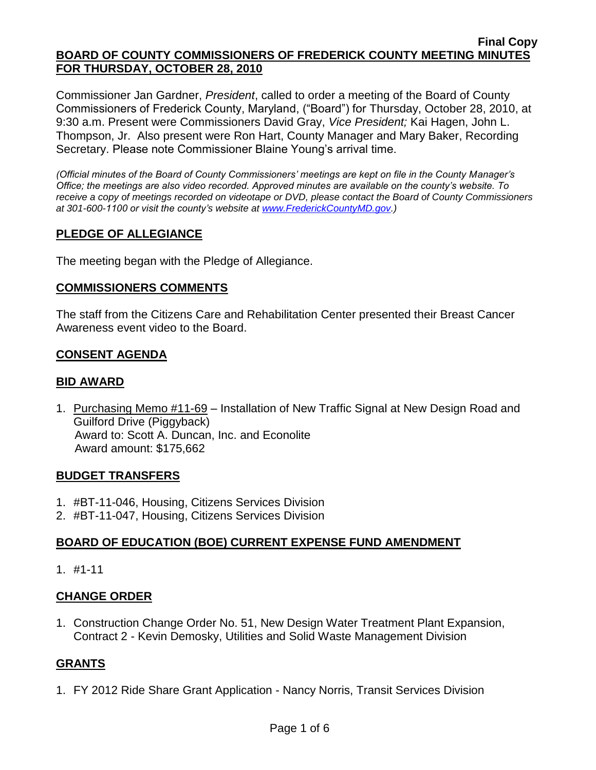Commissioner Jan Gardner, *President*, called to order a meeting of the Board of County Commissioners of Frederick County, Maryland, ("Board") for Thursday, October 28, 2010, at 9:30 a.m. Present were Commissioners David Gray, *Vice President;* Kai Hagen, John L. Thompson, Jr. Also present were Ron Hart, County Manager and Mary Baker, Recording Secretary. Please note Commissioner Blaine Young's arrival time.

*(Official minutes of the Board of County Commissioners' meetings are kept on file in the County Manager's Office; the meetings are also video recorded. Approved minutes are available on the county's website. To receive a copy of meetings recorded on videotape or DVD, please contact the Board of County Commissioners at 301-600-1100 or visit the county's website at [www.FrederickCountyMD.gov.](http://www.frederickcountymd.gov/))*

# **PLEDGE OF ALLEGIANCE**

The meeting began with the Pledge of Allegiance.

### **COMMISSIONERS COMMENTS**

The staff from the Citizens Care and Rehabilitation Center presented their Breast Cancer Awareness event video to the Board.

### **CONSENT AGENDA**

### **BID AWARD**

1. Purchasing Memo #11-69 – Installation of New Traffic Signal at New Design Road and Guilford Drive (Piggyback) Award to: Scott A. Duncan, Inc. and Econolite Award amount: \$175,662

### **BUDGET TRANSFERS**

- 1. #BT-11-046, Housing, Citizens Services Division
- 2. #BT-11-047, Housing, Citizens Services Division

### **BOARD OF EDUCATION (BOE) CURRENT EXPENSE FUND AMENDMENT**

1. #1-11

### **CHANGE ORDER**

1. Construction Change Order No. 51, New Design Water Treatment Plant Expansion, Contract 2 - Kevin Demosky, Utilities and Solid Waste Management Division

### **GRANTS**

1. FY 2012 Ride Share Grant Application - Nancy Norris, Transit Services Division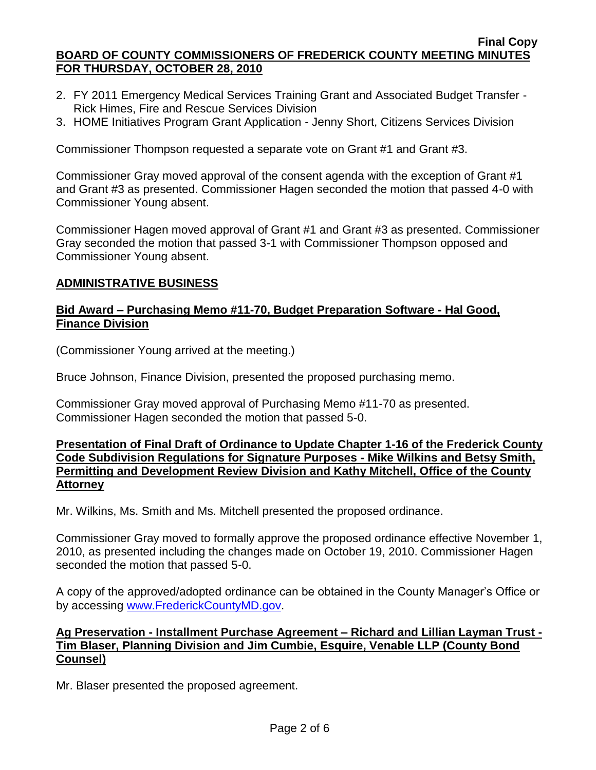- 2. FY 2011 Emergency Medical Services Training Grant and Associated Budget Transfer Rick Himes, Fire and Rescue Services Division
- 3. HOME Initiatives Program Grant Application Jenny Short, Citizens Services Division

Commissioner Thompson requested a separate vote on Grant #1 and Grant #3.

Commissioner Gray moved approval of the consent agenda with the exception of Grant #1 and Grant #3 as presented. Commissioner Hagen seconded the motion that passed 4-0 with Commissioner Young absent.

Commissioner Hagen moved approval of Grant #1 and Grant #3 as presented. Commissioner Gray seconded the motion that passed 3-1 with Commissioner Thompson opposed and Commissioner Young absent.

### **ADMINISTRATIVE BUSINESS**

#### **Bid Award – Purchasing Memo #11-70, Budget Preparation Software - Hal Good, Finance Division**

(Commissioner Young arrived at the meeting.)

Bruce Johnson, Finance Division, presented the proposed purchasing memo.

Commissioner Gray moved approval of Purchasing Memo #11-70 as presented. Commissioner Hagen seconded the motion that passed 5-0.

#### **Presentation of Final Draft of Ordinance to Update Chapter 1-16 of the Frederick County Code Subdivision Regulations for Signature Purposes - Mike Wilkins and Betsy Smith, Permitting and Development Review Division and Kathy Mitchell, Office of the County Attorney**

Mr. Wilkins, Ms. Smith and Ms. Mitchell presented the proposed ordinance.

Commissioner Gray moved to formally approve the proposed ordinance effective November 1, 2010, as presented including the changes made on October 19, 2010. Commissioner Hagen seconded the motion that passed 5-0.

A copy of the approved/adopted ordinance can be obtained in the County Manager's Office or by accessing [www.FrederickCountyMD.gov.](file://NT1S5/BOCC/BOCC/BOCC%20Minutes/Mary)

## **Ag Preservation - Installment Purchase Agreement – Richard and Lillian Layman Trust - Tim Blaser, Planning Division and Jim Cumbie, Esquire, Venable LLP (County Bond Counsel)**

Mr. Blaser presented the proposed agreement.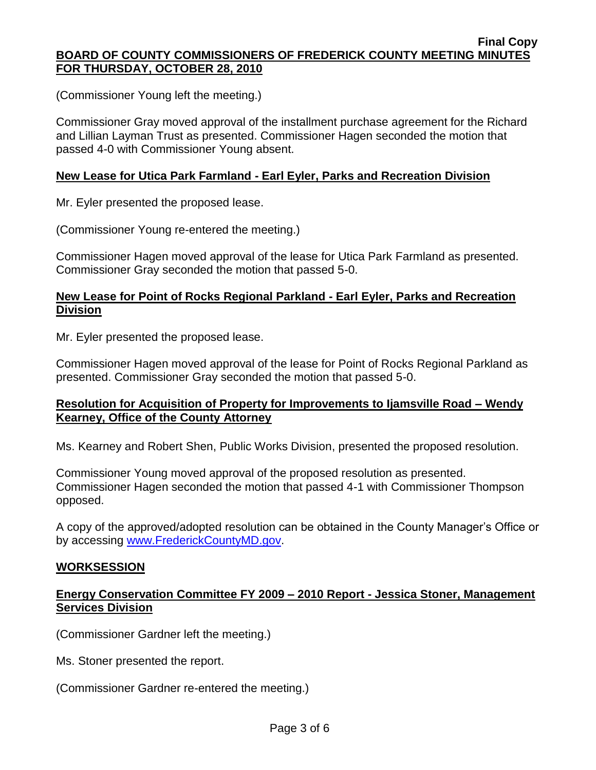(Commissioner Young left the meeting.)

Commissioner Gray moved approval of the installment purchase agreement for the Richard and Lillian Layman Trust as presented. Commissioner Hagen seconded the motion that passed 4-0 with Commissioner Young absent.

## **New Lease for Utica Park Farmland - Earl Eyler, Parks and Recreation Division**

Mr. Eyler presented the proposed lease.

(Commissioner Young re-entered the meeting.)

Commissioner Hagen moved approval of the lease for Utica Park Farmland as presented. Commissioner Gray seconded the motion that passed 5-0.

## **New Lease for Point of Rocks Regional Parkland - Earl Eyler, Parks and Recreation Division**

Mr. Eyler presented the proposed lease.

Commissioner Hagen moved approval of the lease for Point of Rocks Regional Parkland as presented. Commissioner Gray seconded the motion that passed 5-0.

## **Resolution for Acquisition of Property for Improvements to Ijamsville Road – Wendy Kearney, Office of the County Attorney**

Ms. Kearney and Robert Shen, Public Works Division, presented the proposed resolution.

Commissioner Young moved approval of the proposed resolution as presented. Commissioner Hagen seconded the motion that passed 4-1 with Commissioner Thompson opposed.

A copy of the approved/adopted resolution can be obtained in the County Manager's Office or by accessing [www.FrederickCountyMD.gov.](file://NT1S5/BOCC/BOCC/BOCC%20Minutes/Mary)

# **WORKSESSION**

## **Energy Conservation Committee FY 2009 – 2010 Report - Jessica Stoner, Management Services Division**

(Commissioner Gardner left the meeting.)

Ms. Stoner presented the report.

(Commissioner Gardner re-entered the meeting.)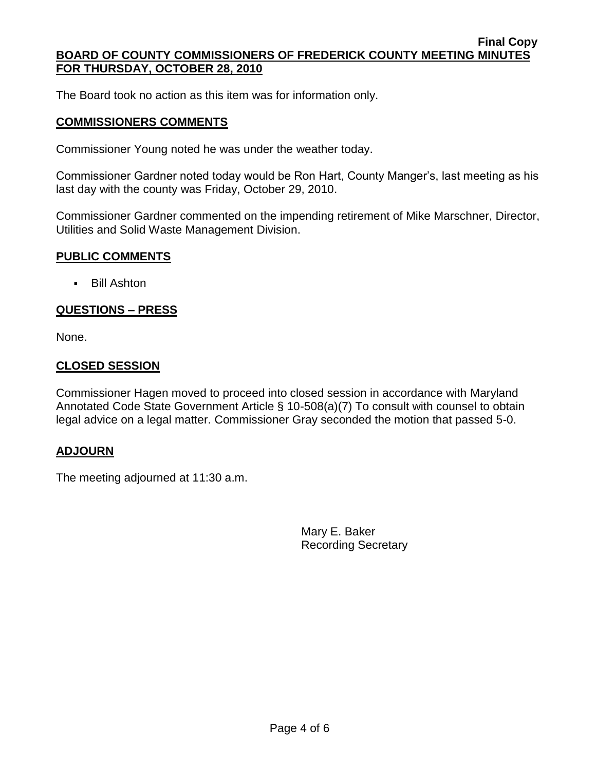The Board took no action as this item was for information only.

### **COMMISSIONERS COMMENTS**

Commissioner Young noted he was under the weather today.

Commissioner Gardner noted today would be Ron Hart, County Manger's, last meeting as his last day with the county was Friday, October 29, 2010.

Commissioner Gardner commented on the impending retirement of Mike Marschner, Director, Utilities and Solid Waste Management Division.

### **PUBLIC COMMENTS**

Bill Ashton

### **QUESTIONS – PRESS**

None.

#### **CLOSED SESSION**

Commissioner Hagen moved to proceed into closed session in accordance with Maryland Annotated Code State Government Article § 10-508(a)(7) To consult with counsel to obtain legal advice on a legal matter. Commissioner Gray seconded the motion that passed 5-0.

### **ADJOURN**

The meeting adjourned at 11:30 a.m.

Mary E. Baker Recording Secretary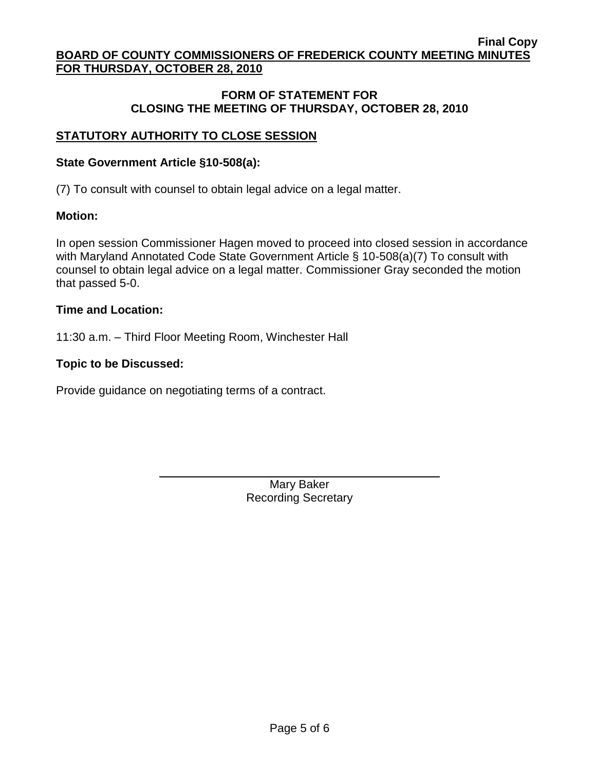### **FORM OF STATEMENT FOR CLOSING THE MEETING OF THURSDAY, OCTOBER 28, 2010**

# **STATUTORY AUTHORITY TO CLOSE SESSION**

### **State Government Article §10-508(a):**

(7) To consult with counsel to obtain legal advice on a legal matter.

## **Motion:**

In open session Commissioner Hagen moved to proceed into closed session in accordance with Maryland Annotated Code State Government Article § 10-508(a)(7) To consult with counsel to obtain legal advice on a legal matter. Commissioner Gray seconded the motion that passed 5-0.

## **Time and Location:**

11:30 a.m. – Third Floor Meeting Room, Winchester Hall

## **Topic to be Discussed:**

Provide guidance on negotiating terms of a contract.

Mary Baker Recording Secretary